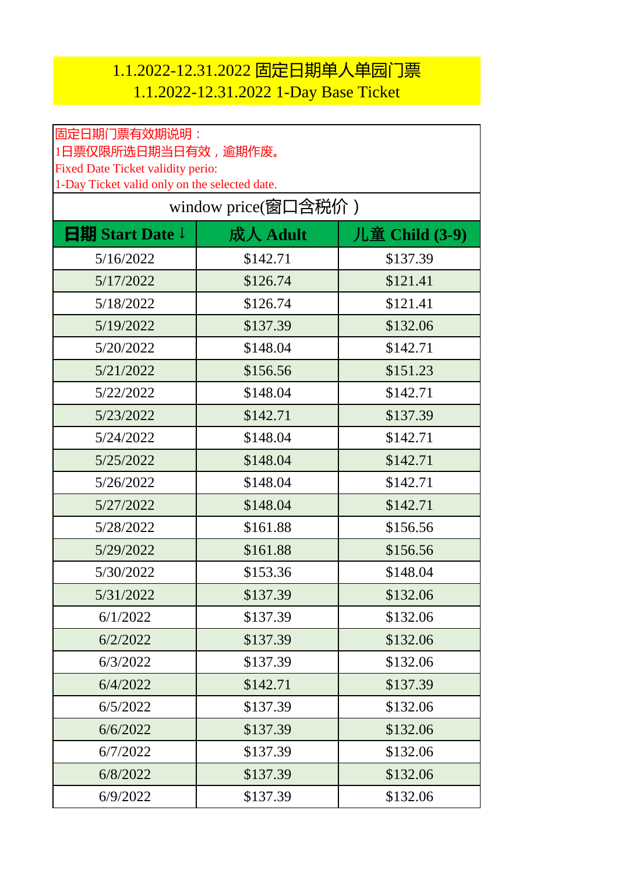## 1.1.2022-12.31.2022 固定日期单人单园门票 1.1.2022-12.31.2022 1-Day Base Ticket

| 固定日期门票有效期说明:                                                                                                     |          |                |  |
|------------------------------------------------------------------------------------------------------------------|----------|----------------|--|
| 1日票仅限所选日期当日有效,逾期作废。<br><b>Fixed Date Ticket validity perio:</b><br>1-Day Ticket valid only on the selected date. |          |                |  |
|                                                                                                                  |          |                |  |
| <b>日期 Start Date</b> ↓                                                                                           | 成人 Adult | 儿童 Child (3-9) |  |
| 5/16/2022                                                                                                        | \$142.71 | \$137.39       |  |
| 5/17/2022                                                                                                        | \$126.74 | \$121.41       |  |
| 5/18/2022                                                                                                        | \$126.74 | \$121.41       |  |
| 5/19/2022                                                                                                        | \$137.39 | \$132.06       |  |
| 5/20/2022                                                                                                        | \$148.04 | \$142.71       |  |
| 5/21/2022                                                                                                        | \$156.56 | \$151.23       |  |
| 5/22/2022                                                                                                        | \$148.04 | \$142.71       |  |
| 5/23/2022                                                                                                        | \$142.71 | \$137.39       |  |
| 5/24/2022                                                                                                        | \$148.04 | \$142.71       |  |
| 5/25/2022                                                                                                        | \$148.04 | \$142.71       |  |
| 5/26/2022                                                                                                        | \$148.04 | \$142.71       |  |
| 5/27/2022                                                                                                        | \$148.04 | \$142.71       |  |
| 5/28/2022                                                                                                        | \$161.88 | \$156.56       |  |
| 5/29/2022                                                                                                        | \$161.88 | \$156.56       |  |
| 5/30/2022                                                                                                        | \$153.36 | \$148.04       |  |
| 5/31/2022                                                                                                        | \$137.39 | \$132.06       |  |
| 6/1/2022                                                                                                         | \$137.39 | \$132.06       |  |
| 6/2/2022                                                                                                         | \$137.39 | \$132.06       |  |
| 6/3/2022                                                                                                         | \$137.39 | \$132.06       |  |
| 6/4/2022                                                                                                         | \$142.71 | \$137.39       |  |
| 6/5/2022                                                                                                         | \$137.39 | \$132.06       |  |
| 6/6/2022                                                                                                         | \$137.39 | \$132.06       |  |
| 6/7/2022                                                                                                         | \$137.39 | \$132.06       |  |
| 6/8/2022                                                                                                         | \$137.39 | \$132.06       |  |
| 6/9/2022                                                                                                         | \$137.39 | \$132.06       |  |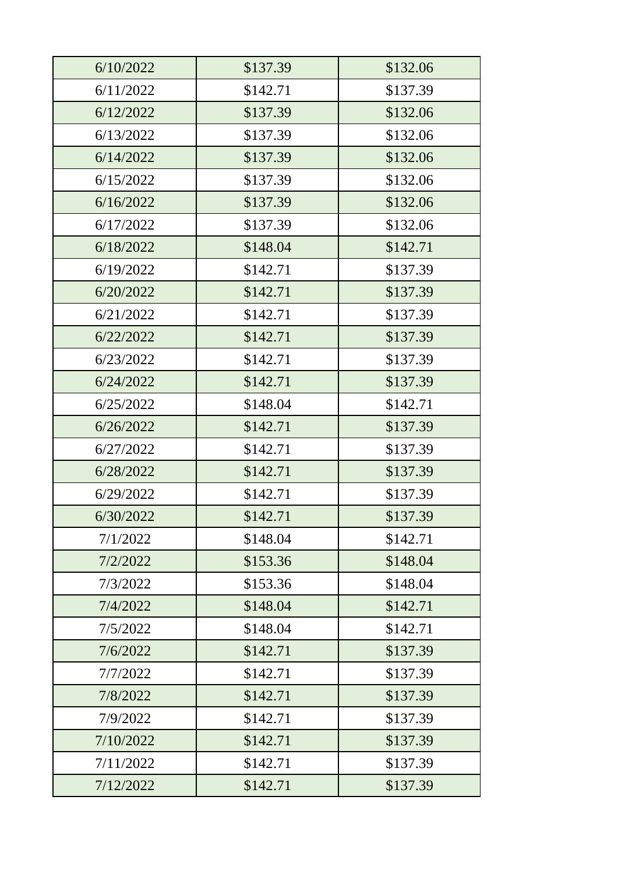| 6/10/2022 | \$137.39 | \$132.06 |
|-----------|----------|----------|
| 6/11/2022 | \$142.71 | \$137.39 |
| 6/12/2022 | \$137.39 | \$132.06 |
| 6/13/2022 | \$137.39 | \$132.06 |
| 6/14/2022 | \$137.39 | \$132.06 |
| 6/15/2022 | \$137.39 | \$132.06 |
| 6/16/2022 | \$137.39 | \$132.06 |
| 6/17/2022 | \$137.39 | \$132.06 |
| 6/18/2022 | \$148.04 | \$142.71 |
| 6/19/2022 | \$142.71 | \$137.39 |
| 6/20/2022 | \$142.71 | \$137.39 |
| 6/21/2022 | \$142.71 | \$137.39 |
| 6/22/2022 | \$142.71 | \$137.39 |
| 6/23/2022 | \$142.71 | \$137.39 |
| 6/24/2022 | \$142.71 | \$137.39 |
| 6/25/2022 | \$148.04 | \$142.71 |
| 6/26/2022 | \$142.71 | \$137.39 |
| 6/27/2022 | \$142.71 | \$137.39 |
| 6/28/2022 | \$142.71 | \$137.39 |
| 6/29/2022 | \$142.71 | \$137.39 |
| 6/30/2022 | \$142.71 | \$137.39 |
| 7/1/2022  | \$148.04 | \$142.71 |
| 7/2/2022  | \$153.36 | \$148.04 |
| 7/3/2022  | \$153.36 | \$148.04 |
| 7/4/2022  | \$148.04 | \$142.71 |
| 7/5/2022  | \$148.04 | \$142.71 |
| 7/6/2022  | \$142.71 | \$137.39 |
| 7/7/2022  | \$142.71 | \$137.39 |
| 7/8/2022  | \$142.71 | \$137.39 |
| 7/9/2022  | \$142.71 | \$137.39 |
| 7/10/2022 | \$142.71 | \$137.39 |
| 7/11/2022 | \$142.71 | \$137.39 |
| 7/12/2022 | \$142.71 | \$137.39 |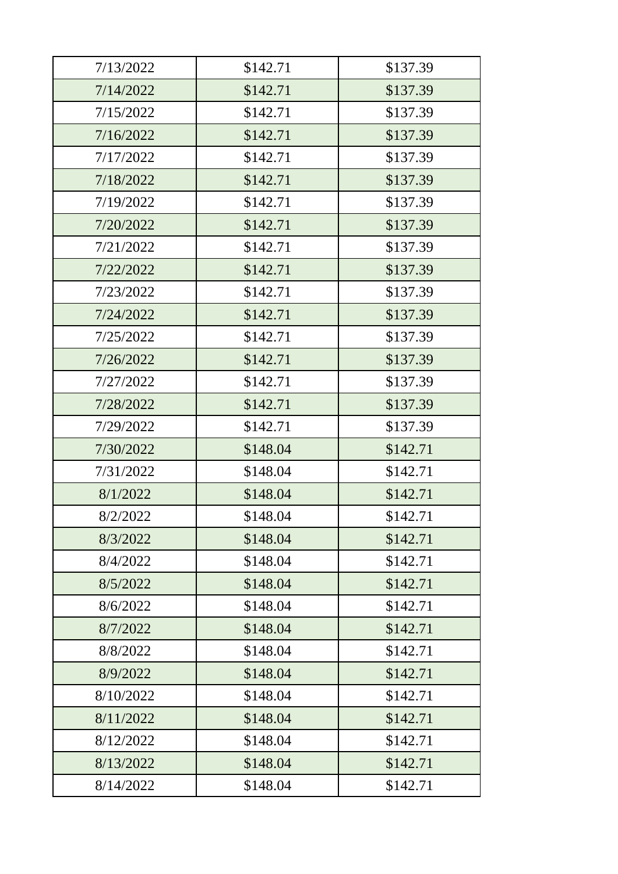| 7/13/2022 | \$142.71 | \$137.39 |
|-----------|----------|----------|
| 7/14/2022 | \$142.71 | \$137.39 |
| 7/15/2022 | \$142.71 | \$137.39 |
| 7/16/2022 | \$142.71 | \$137.39 |
| 7/17/2022 | \$142.71 | \$137.39 |
| 7/18/2022 | \$142.71 | \$137.39 |
| 7/19/2022 | \$142.71 | \$137.39 |
| 7/20/2022 | \$142.71 | \$137.39 |
| 7/21/2022 | \$142.71 | \$137.39 |
| 7/22/2022 | \$142.71 | \$137.39 |
| 7/23/2022 | \$142.71 | \$137.39 |
| 7/24/2022 | \$142.71 | \$137.39 |
| 7/25/2022 | \$142.71 | \$137.39 |
| 7/26/2022 | \$142.71 | \$137.39 |
| 7/27/2022 | \$142.71 | \$137.39 |
| 7/28/2022 | \$142.71 | \$137.39 |
| 7/29/2022 | \$142.71 | \$137.39 |
| 7/30/2022 | \$148.04 | \$142.71 |
| 7/31/2022 | \$148.04 | \$142.71 |
| 8/1/2022  | \$148.04 | \$142.71 |
| 8/2/2022  | \$148.04 | \$142.71 |
| 8/3/2022  | \$148.04 | \$142.71 |
| 8/4/2022  | \$148.04 | \$142.71 |
| 8/5/2022  | \$148.04 | \$142.71 |
| 8/6/2022  | \$148.04 | \$142.71 |
| 8/7/2022  | \$148.04 | \$142.71 |
| 8/8/2022  | \$148.04 | \$142.71 |
| 8/9/2022  | \$148.04 | \$142.71 |
| 8/10/2022 | \$148.04 | \$142.71 |
| 8/11/2022 | \$148.04 | \$142.71 |
| 8/12/2022 | \$148.04 | \$142.71 |
| 8/13/2022 | \$148.04 | \$142.71 |
| 8/14/2022 | \$148.04 | \$142.71 |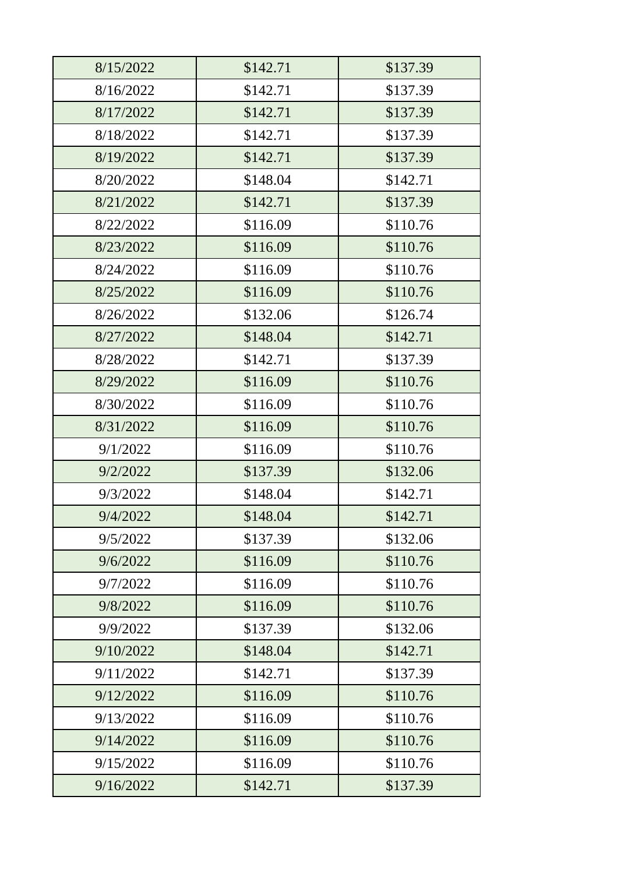| 8/15/2022 | \$142.71 | \$137.39 |
|-----------|----------|----------|
| 8/16/2022 | \$142.71 | \$137.39 |
| 8/17/2022 | \$142.71 | \$137.39 |
| 8/18/2022 | \$142.71 | \$137.39 |
| 8/19/2022 | \$142.71 | \$137.39 |
| 8/20/2022 | \$148.04 | \$142.71 |
| 8/21/2022 | \$142.71 | \$137.39 |
| 8/22/2022 | \$116.09 | \$110.76 |
| 8/23/2022 | \$116.09 | \$110.76 |
| 8/24/2022 | \$116.09 | \$110.76 |
| 8/25/2022 | \$116.09 | \$110.76 |
| 8/26/2022 | \$132.06 | \$126.74 |
| 8/27/2022 | \$148.04 | \$142.71 |
| 8/28/2022 | \$142.71 | \$137.39 |
| 8/29/2022 | \$116.09 | \$110.76 |
| 8/30/2022 | \$116.09 | \$110.76 |
| 8/31/2022 | \$116.09 | \$110.76 |
| 9/1/2022  | \$116.09 | \$110.76 |
| 9/2/2022  | \$137.39 | \$132.06 |
| 9/3/2022  | \$148.04 | \$142.71 |
| 9/4/2022  | \$148.04 | \$142.71 |
| 9/5/2022  | \$137.39 | \$132.06 |
| 9/6/2022  | \$116.09 | \$110.76 |
| 9/7/2022  | \$116.09 | \$110.76 |
| 9/8/2022  | \$116.09 | \$110.76 |
| 9/9/2022  | \$137.39 | \$132.06 |
| 9/10/2022 | \$148.04 | \$142.71 |
| 9/11/2022 | \$142.71 | \$137.39 |
| 9/12/2022 | \$116.09 | \$110.76 |
| 9/13/2022 | \$116.09 | \$110.76 |
| 9/14/2022 | \$116.09 | \$110.76 |
| 9/15/2022 | \$116.09 | \$110.76 |
| 9/16/2022 | \$142.71 | \$137.39 |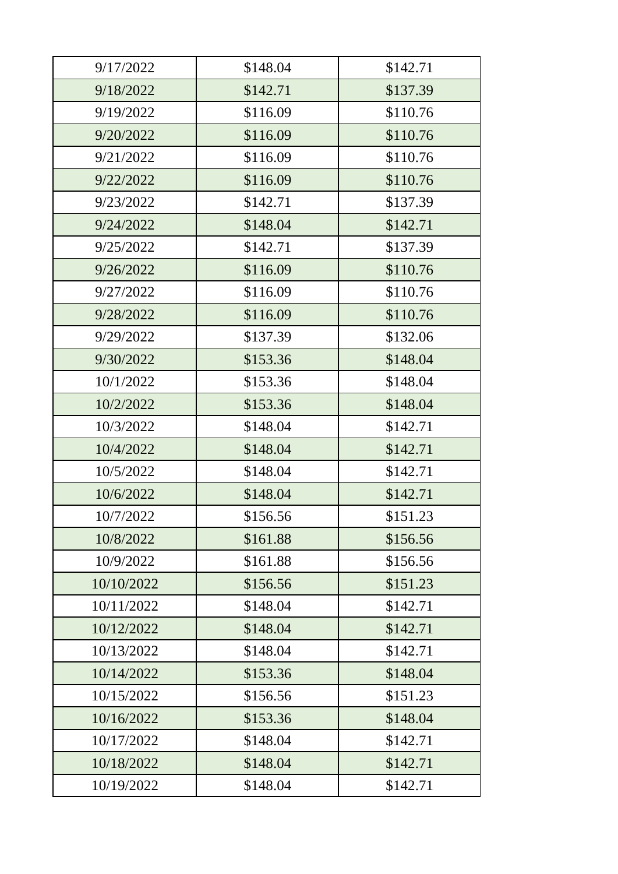| 9/17/2022  | \$148.04 | \$142.71 |
|------------|----------|----------|
| 9/18/2022  | \$142.71 | \$137.39 |
| 9/19/2022  | \$116.09 | \$110.76 |
| 9/20/2022  | \$116.09 | \$110.76 |
| 9/21/2022  | \$116.09 | \$110.76 |
| 9/22/2022  | \$116.09 | \$110.76 |
| 9/23/2022  | \$142.71 | \$137.39 |
| 9/24/2022  | \$148.04 | \$142.71 |
| 9/25/2022  | \$142.71 | \$137.39 |
| 9/26/2022  | \$116.09 | \$110.76 |
| 9/27/2022  | \$116.09 | \$110.76 |
| 9/28/2022  | \$116.09 | \$110.76 |
| 9/29/2022  | \$137.39 | \$132.06 |
| 9/30/2022  | \$153.36 | \$148.04 |
| 10/1/2022  | \$153.36 | \$148.04 |
| 10/2/2022  | \$153.36 | \$148.04 |
| 10/3/2022  | \$148.04 | \$142.71 |
| 10/4/2022  | \$148.04 | \$142.71 |
| 10/5/2022  | \$148.04 | \$142.71 |
| 10/6/2022  | \$148.04 | \$142.71 |
| 10/7/2022  | \$156.56 | \$151.23 |
| 10/8/2022  | \$161.88 | \$156.56 |
| 10/9/2022  | \$161.88 | \$156.56 |
| 10/10/2022 | \$156.56 | \$151.23 |
| 10/11/2022 | \$148.04 | \$142.71 |
| 10/12/2022 | \$148.04 | \$142.71 |
| 10/13/2022 | \$148.04 | \$142.71 |
| 10/14/2022 | \$153.36 | \$148.04 |
| 10/15/2022 | \$156.56 | \$151.23 |
| 10/16/2022 | \$153.36 | \$148.04 |
| 10/17/2022 | \$148.04 | \$142.71 |
| 10/18/2022 | \$148.04 | \$142.71 |
| 10/19/2022 | \$148.04 | \$142.71 |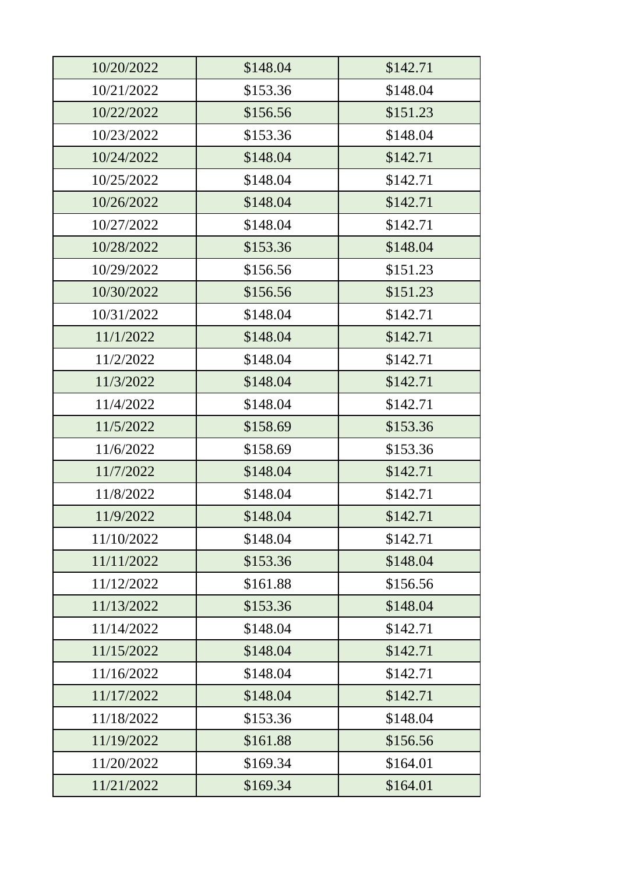| 10/20/2022 | \$148.04 | \$142.71 |
|------------|----------|----------|
| 10/21/2022 | \$153.36 | \$148.04 |
| 10/22/2022 | \$156.56 | \$151.23 |
| 10/23/2022 | \$153.36 | \$148.04 |
| 10/24/2022 | \$148.04 | \$142.71 |
| 10/25/2022 | \$148.04 | \$142.71 |
| 10/26/2022 | \$148.04 | \$142.71 |
| 10/27/2022 | \$148.04 | \$142.71 |
| 10/28/2022 | \$153.36 | \$148.04 |
| 10/29/2022 | \$156.56 | \$151.23 |
| 10/30/2022 | \$156.56 | \$151.23 |
| 10/31/2022 | \$148.04 | \$142.71 |
| 11/1/2022  | \$148.04 | \$142.71 |
| 11/2/2022  | \$148.04 | \$142.71 |
| 11/3/2022  | \$148.04 | \$142.71 |
| 11/4/2022  | \$148.04 | \$142.71 |
| 11/5/2022  | \$158.69 | \$153.36 |
| 11/6/2022  | \$158.69 | \$153.36 |
| 11/7/2022  | \$148.04 | \$142.71 |
| 11/8/2022  | \$148.04 | \$142.71 |
| 11/9/2022  | \$148.04 | \$142.71 |
| 11/10/2022 | \$148.04 | \$142.71 |
| 11/11/2022 | \$153.36 | \$148.04 |
| 11/12/2022 | \$161.88 | \$156.56 |
| 11/13/2022 | \$153.36 | \$148.04 |
| 11/14/2022 | \$148.04 | \$142.71 |
| 11/15/2022 | \$148.04 | \$142.71 |
| 11/16/2022 | \$148.04 | \$142.71 |
| 11/17/2022 | \$148.04 | \$142.71 |
| 11/18/2022 | \$153.36 | \$148.04 |
| 11/19/2022 | \$161.88 | \$156.56 |
| 11/20/2022 | \$169.34 | \$164.01 |
| 11/21/2022 | \$169.34 | \$164.01 |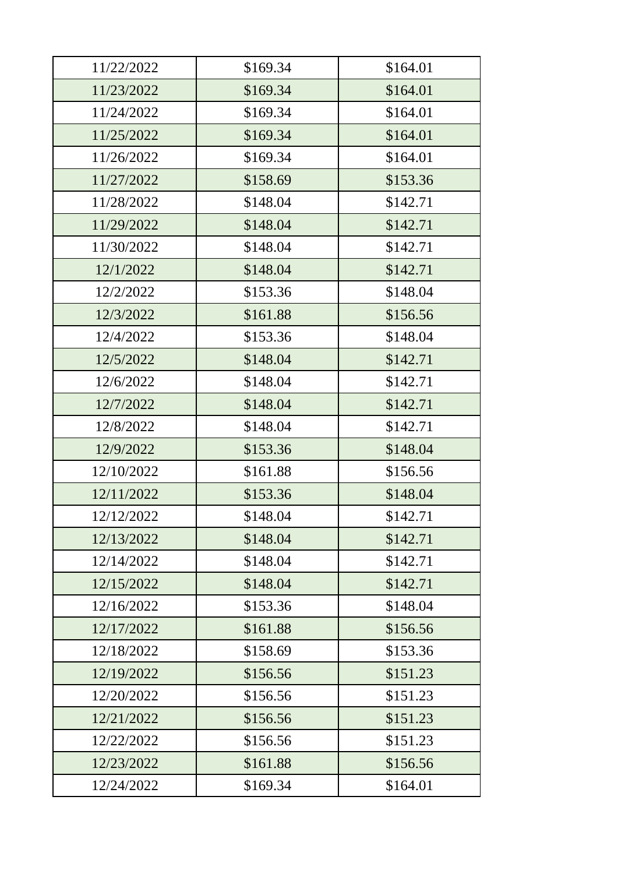| 11/22/2022 | \$169.34 | \$164.01 |
|------------|----------|----------|
| 11/23/2022 | \$169.34 | \$164.01 |
| 11/24/2022 | \$169.34 | \$164.01 |
| 11/25/2022 | \$169.34 | \$164.01 |
| 11/26/2022 | \$169.34 | \$164.01 |
| 11/27/2022 | \$158.69 | \$153.36 |
| 11/28/2022 | \$148.04 | \$142.71 |
| 11/29/2022 | \$148.04 | \$142.71 |
| 11/30/2022 | \$148.04 | \$142.71 |
| 12/1/2022  | \$148.04 | \$142.71 |
| 12/2/2022  | \$153.36 | \$148.04 |
| 12/3/2022  | \$161.88 | \$156.56 |
| 12/4/2022  | \$153.36 | \$148.04 |
| 12/5/2022  | \$148.04 | \$142.71 |
| 12/6/2022  | \$148.04 | \$142.71 |
| 12/7/2022  | \$148.04 | \$142.71 |
| 12/8/2022  | \$148.04 | \$142.71 |
| 12/9/2022  | \$153.36 | \$148.04 |
| 12/10/2022 | \$161.88 | \$156.56 |
| 12/11/2022 | \$153.36 | \$148.04 |
| 12/12/2022 | \$148.04 | \$142.71 |
| 12/13/2022 | \$148.04 | \$142.71 |
| 12/14/2022 | \$148.04 | \$142.71 |
| 12/15/2022 | \$148.04 | \$142.71 |
| 12/16/2022 | \$153.36 | \$148.04 |
| 12/17/2022 | \$161.88 | \$156.56 |
| 12/18/2022 | \$158.69 | \$153.36 |
| 12/19/2022 | \$156.56 | \$151.23 |
| 12/20/2022 | \$156.56 | \$151.23 |
| 12/21/2022 | \$156.56 | \$151.23 |
| 12/22/2022 | \$156.56 | \$151.23 |
| 12/23/2022 | \$161.88 | \$156.56 |
| 12/24/2022 | \$169.34 | \$164.01 |
|            |          |          |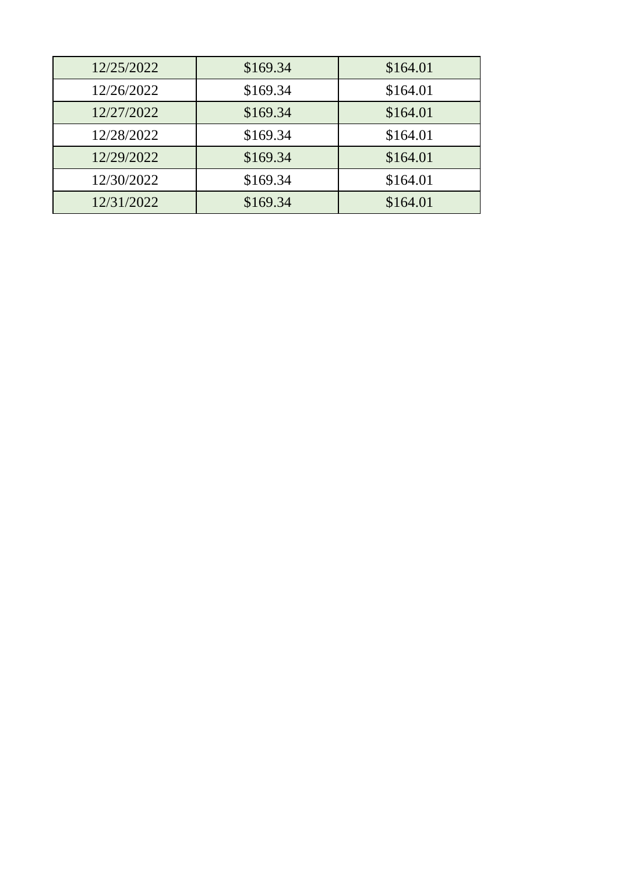| 12/25/2022 | \$169.34 | \$164.01 |
|------------|----------|----------|
| 12/26/2022 | \$169.34 | \$164.01 |
| 12/27/2022 | \$169.34 | \$164.01 |
| 12/28/2022 | \$169.34 | \$164.01 |
| 12/29/2022 | \$169.34 | \$164.01 |
| 12/30/2022 | \$169.34 | \$164.01 |
| 12/31/2022 | \$169.34 | \$164.01 |